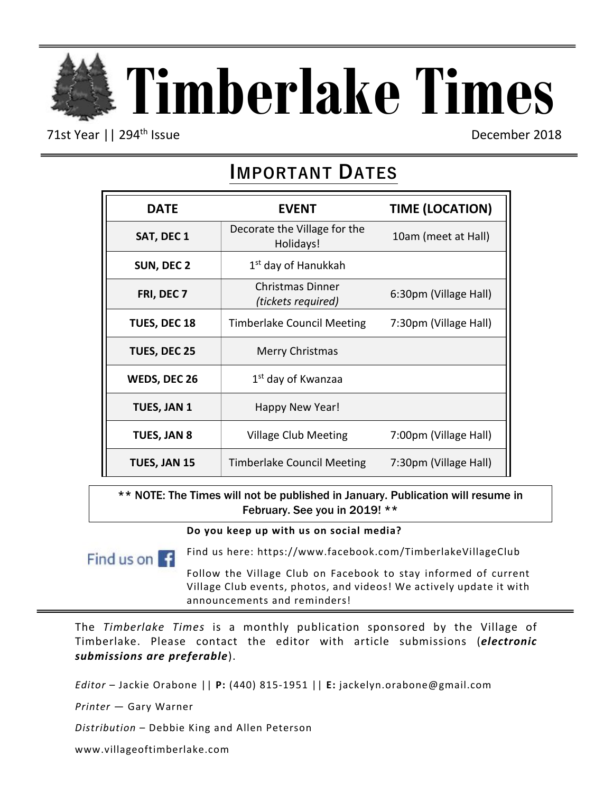

71st Year || 294<sup>th</sup> Issue December 2018

# **IMPORTANT DATES**

| <b>DATE</b>  | <b>EVENT</b>                              | <b>TIME (LOCATION)</b> |
|--------------|-------------------------------------------|------------------------|
| SAT, DEC 1   | Decorate the Village for the<br>Holidays! | 10am (meet at Hall)    |
| SUN, DEC 2   | 1 <sup>st</sup> day of Hanukkah           |                        |
| FRI, DEC 7   | Christmas Dinner<br>(tickets required)    | 6:30pm (Village Hall)  |
| TUES, DEC 18 | <b>Timberlake Council Meeting</b>         | 7:30pm (Village Hall)  |
| TUES, DEC 25 | <b>Merry Christmas</b>                    |                        |
| WEDS, DEC 26 | 1 <sup>st</sup> day of Kwanzaa            |                        |
| TUES, JAN 1  | Happy New Year!                           |                        |
| TUES, JAN 8  | <b>Village Club Meeting</b>               | 7:00pm (Village Hall)  |
| TUES, JAN 15 | <b>Timberlake Council Meeting</b>         | 7:30pm (Village Hall)  |

\*\* NOTE: The Times will not be published in January. Publication will resume in February. See you in 2019! \*\*

**Do you keep up with us on social media?** 

Find us on  $\mathbf{G}$ 

Find us here: https://www.facebook.com/TimberlakeVillageClub

Follow the Village Club on Facebook to stay informed of current Village Club events, photos, and videos! We actively update it with announcements and reminders!

The *Timberlake Times* is a monthly publication sponsored by the Village of Timberlake. Please contact the editor with article submissions (*electronic submissions are preferable*).

*Editor* – Jackie Orabone || **P:** (440) 815-1951 || **E:** jackelyn.orabone@gmail.com

*Printer* — Gary Warner

*Distribution* – Debbie King and Allen Peterson

www.villageoftimberlake.com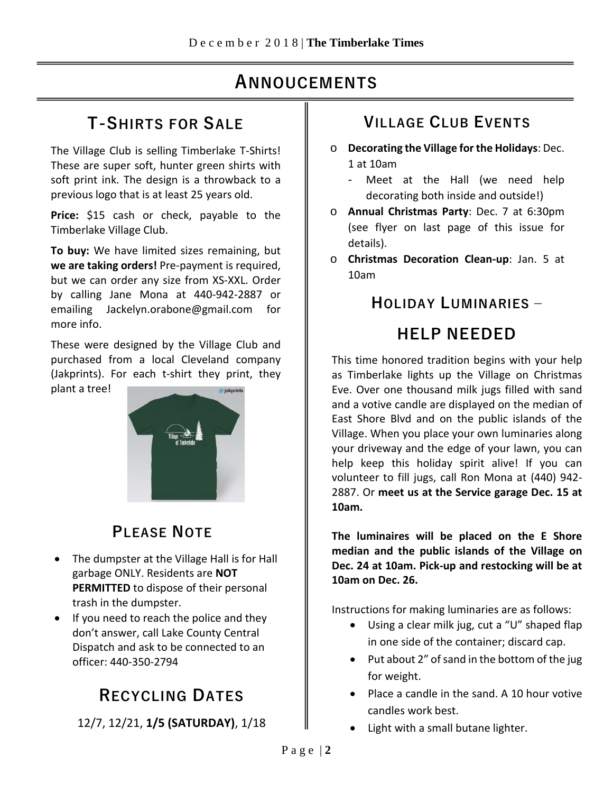# **AANNOUNCEMENTS NNOUCEMENTS**

## **T-SHIRTS FOR SALE**

The Village Club is selling Timberlake T-Shirts! These are super soft, hunter green shirts with soft print ink. The design is a throwback to a previous logo that is at least 25 years old.

**Price:** \$15 cash or check, payable to the Timberlake Village Club.

**To buy:** We have limited sizes remaining, but **we are taking orders!** Pre-payment is required, but we can order any size from XS-XXL. Order by calling Jane Mona at 440-942-2887 or emailing Jackelyn.orabone@gmail.com for more info.

These were designed by the Village Club and purchased from a local Cleveland company (Jakprints). For each t-shirt they print, they

plant a tree!



## **PLEASE NOTE**

- The dumpster at the Village Hall is for Hall garbage ONLY. Residents are **NOT PERMITTED** to dispose of their personal trash in the dumpster.
- If you need to reach the police and they don't answer, call Lake County Central Dispatch and ask to be connected to an officer: 440-350-2794

# **RECYCLING DATES**

12/7, 12/21, **1/5 (SATURDAY)**, 1/18

## **VILLAGE CLUB EVENTS**

- o **Decorating the Village for the Holidays**: Dec. 1 at 10am
	- Meet at the Hall (we need help decorating both inside and outside!)
- o **Annual Christmas Party**: Dec. 7 at 6:30pm (see flyer on last page of this issue for details).
- o **Christmas Decoration Clean-up**: Jan. 5 at 10am

## **HOLIDAY LUMINARIES –**

# **HELP NEEDED**

This time honored tradition begins with your help as Timberlake lights up the Village on Christmas Eve. Over one thousand milk jugs filled with sand and a votive candle are displayed on the median of East Shore Blvd and on the public islands of the Village. When you place your own luminaries along your driveway and the edge of your lawn, you can help keep this holiday spirit alive! If you can volunteer to fill jugs, call Ron Mona at (440) 942- 2887. Or **meet us at the Service garage Dec. 15 at 10am.**

**The luminaires will be placed on the E Shore median and the public islands of the Village on Dec. 24 at 10am. Pick-up and restocking will be at 10am on Dec. 26.**

Instructions for making luminaries are as follows:

- Using a clear milk jug, cut a "U" shaped flap in one side of the container; discard cap.
- Put about 2" of sand in the bottom of the jug for weight.
- Place a candle in the sand. A 10 hour votive candles work best.
- Light with a small butane lighter.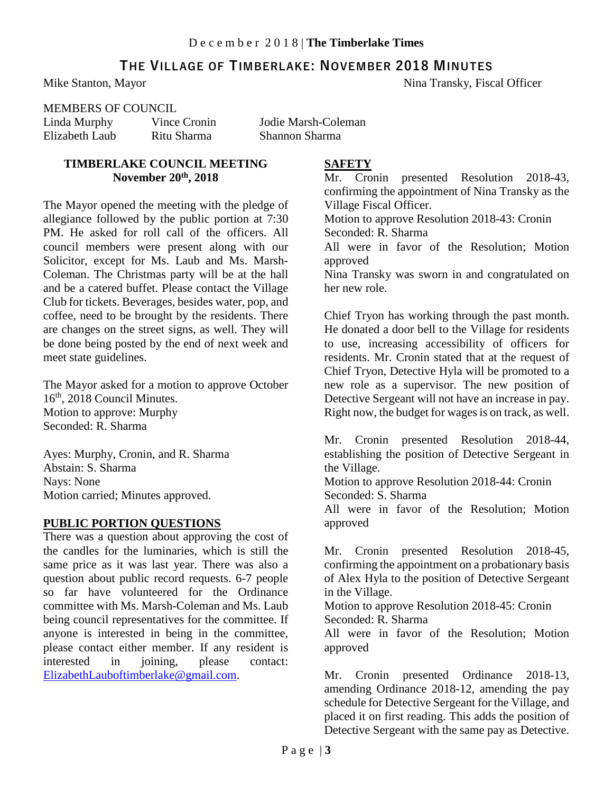## **THE VILLAGE OF TIMBERLAKE: NOVEMBER 2018 MINUTES**

Mike Stanton, Mayor Nina Transky, Fiscal Officer

#### MEMBERS OF COUNCIL

Linda Murphy Vince Cronin Jodie Marsh-Coleman Elizabeth Laub Ritu Sharma Shannon Sharma

#### **TIMBERLAKE COUNCIL MEETING November 20th, 2018**

The Mayor opened the meeting with the pledge of allegiance followed by the public portion at 7:30 PM. He asked for roll call of the officers. All council members were present along with our Solicitor, except for Ms. Laub and Ms. Marsh-Coleman. The Christmas party will be at the hall and be a catered buffet. Please contact the Village Club for tickets. Beverages, besides water, pop, and coffee, need to be brought by the residents. There are changes on the street signs, as well. They will be done being posted by the end of next week and meet state guidelines.

The Mayor asked for a motion to approve October 16th, 2018 Council Minutes. Motion to approve: Murphy Seconded: R. Sharma

Ayes: Murphy, Cronin, and R. Sharma Abstain: S. Sharma Nays: None Motion carried; Minutes approved.

#### **PUBLIC PORTION QUESTIONS**

There was a question about approving the cost of the candles for the luminaries, which is still the same price as it was last year. There was also a question about public record requests. 6-7 people so far have volunteered for the Ordinance committee with Ms. Marsh-Coleman and Ms. Laub being council representatives for the committee. If anyone is interested in being in the committee, please contact either member. If any resident is<br>interested in joining, please contact: interested in joining, please contact: [ElizabethLauboftimberlake@gmail.com.](mailto:ElizabethLauboftimberlake@gmail.com)

#### **SAFETY**

Mr. Cronin presented Resolution 2018-43, confirming the appointment of Nina Transky as the Village Fiscal Officer. Motion to approve Resolution 2018-43: Cronin Seconded: R. Sharma

All were in favor of the Resolution; Motion approved

Nina Transky was sworn in and congratulated on her new role.

Chief Tryon has working through the past month. He donated a door bell to the Village for residents to use, increasing accessibility of officers for residents. Mr. Cronin stated that at the request of Chief Tryon, Detective Hyla will be promoted to a new role as a supervisor. The new position of Detective Sergeant will not have an increase in pay. Right now, the budget for wages is on track, as well.

Mr. Cronin presented Resolution 2018-44, establishing the position of Detective Sergeant in the Village.

Motion to approve Resolution 2018-44: Cronin Seconded: S. Sharma

All were in favor of the Resolution; Motion approved

Mr. Cronin presented Resolution 2018-45, confirming the appointment on a probationary basis of Alex Hyla to the position of Detective Sergeant in the Village.

Motion to approve Resolution 2018-45: Cronin Seconded: R. Sharma

All were in favor of the Resolution; Motion approved

Mr. Cronin presented Ordinance 2018-13, amending Ordinance 2018-12, amending the pay schedule for Detective Sergeant for the Village, and placed it on first reading. This adds the position of Detective Sergeant with the same pay as Detective.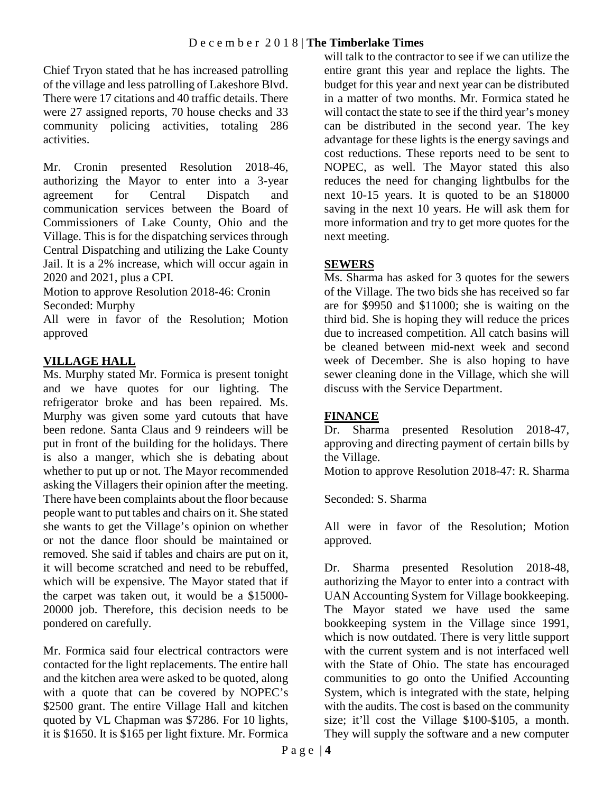Chief Tryon stated that he has increased patrolling of the village and less patrolling of Lakeshore Blvd. There were 17 citations and 40 traffic details. There were 27 assigned reports, 70 house checks and 33 community policing activities, totaling 286 activities.

Mr. Cronin presented Resolution 2018-46, authorizing the Mayor to enter into a 3-year agreement for Central Dispatch and communication services between the Board of Commissioners of Lake County, Ohio and the Village. This is for the dispatching services through Central Dispatching and utilizing the Lake County Jail. It is a 2% increase, which will occur again in 2020 and 2021, plus a CPI.

Motion to approve Resolution 2018-46: Cronin Seconded: Murphy

All were in favor of the Resolution; Motion approved

## **VILLAGE HALL**

Ms. Murphy stated Mr. Formica is present tonight and we have quotes for our lighting. The refrigerator broke and has been repaired. Ms. Murphy was given some yard cutouts that have been redone. Santa Claus and 9 reindeers will be put in front of the building for the holidays. There is also a manger, which she is debating about whether to put up or not. The Mayor recommended asking the Villagers their opinion after the meeting. There have been complaints about the floor because people want to put tables and chairs on it. She stated she wants to get the Village's opinion on whether or not the dance floor should be maintained or removed. She said if tables and chairs are put on it, it will become scratched and need to be rebuffed, which will be expensive. The Mayor stated that if the carpet was taken out, it would be a \$15000- 20000 job. Therefore, this decision needs to be pondered on carefully.

Mr. Formica said four electrical contractors were contacted for the light replacements. The entire hall and the kitchen area were asked to be quoted, along with a quote that can be covered by NOPEC's \$2500 grant. The entire Village Hall and kitchen quoted by VL Chapman was \$7286. For 10 lights, it is \$1650. It is \$165 per light fixture. Mr. Formica

will talk to the contractor to see if we can utilize the entire grant this year and replace the lights. The budget for this year and next year can be distributed in a matter of two months. Mr. Formica stated he will contact the state to see if the third year's money can be distributed in the second year. The key advantage for these lights is the energy savings and cost reductions. These reports need to be sent to NOPEC, as well. The Mayor stated this also reduces the need for changing lightbulbs for the next 10-15 years. It is quoted to be an \$18000 saving in the next 10 years. He will ask them for more information and try to get more quotes for the next meeting.

## **SEWERS**

Ms. Sharma has asked for 3 quotes for the sewers of the Village. The two bids she has received so far are for \$9950 and \$11000; she is waiting on the third bid. She is hoping they will reduce the prices due to increased competition. All catch basins will be cleaned between mid-next week and second week of December. She is also hoping to have sewer cleaning done in the Village, which she will discuss with the Service Department.

## **FINANCE**

Dr. Sharma presented Resolution 2018-47, approving and directing payment of certain bills by the Village.

Motion to approve Resolution 2018-47: R. Sharma

Seconded: S. Sharma

All were in favor of the Resolution; Motion approved.

Dr. Sharma presented Resolution 2018-48, authorizing the Mayor to enter into a contract with UAN Accounting System for Village bookkeeping. The Mayor stated we have used the same bookkeeping system in the Village since 1991, which is now outdated. There is very little support with the current system and is not interfaced well with the State of Ohio. The state has encouraged communities to go onto the Unified Accounting System, which is integrated with the state, helping with the audits. The cost is based on the community size; it'll cost the Village \$100-\$105, a month. They will supply the software and a new computer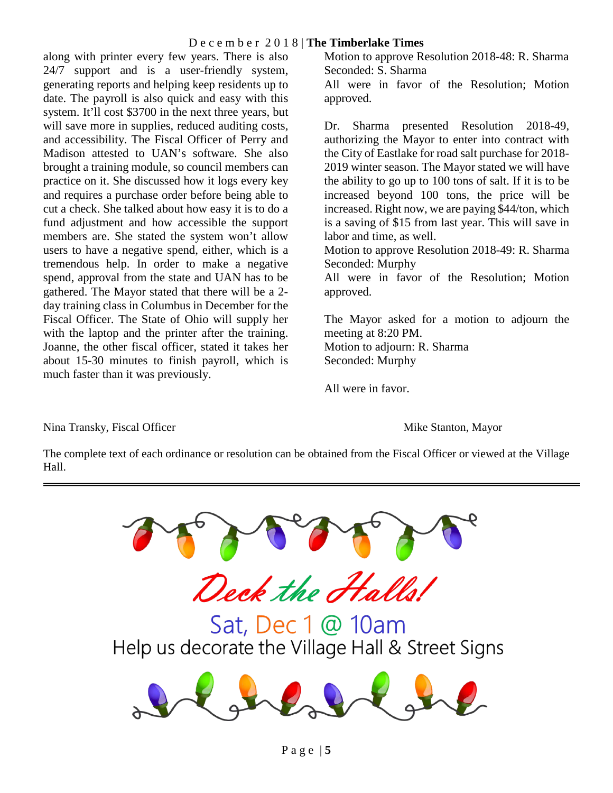### D e c e m b e r 2 0 1 8 | **The Timberlake Times**

along with printer every few years. There is also 24/7 support and is a user-friendly system, generating reports and helping keep residents up to date. The payroll is also quick and easy with this system. It'll cost \$3700 in the next three years, but will save more in supplies, reduced auditing costs, and accessibility. The Fiscal Officer of Perry and Madison attested to UAN's software. She also brought a training module, so council members can practice on it. She discussed how it logs every key and requires a purchase order before being able to cut a check. She talked about how easy it is to do a fund adjustment and how accessible the support members are. She stated the system won't allow users to have a negative spend, either, which is a tremendous help. In order to make a negative spend, approval from the state and UAN has to be gathered. The Mayor stated that there will be a 2 day training class in Columbus in December for the Fiscal Officer. The State of Ohio will supply her with the laptop and the printer after the training. Joanne, the other fiscal officer, stated it takes her about 15-30 minutes to finish payroll, which is much faster than it was previously.

Motion to approve Resolution 2018-48: R. Sharma Seconded: S. Sharma

All were in favor of the Resolution; Motion approved.

Dr. Sharma presented Resolution 2018-49, authorizing the Mayor to enter into contract with the City of Eastlake for road salt purchase for 2018- 2019 winter season. The Mayor stated we will have the ability to go up to 100 tons of salt. If it is to be increased beyond 100 tons, the price will be increased. Right now, we are paying \$44/ton, which is a saving of \$15 from last year. This will save in labor and time, as well.

Motion to approve Resolution 2018-49: R. Sharma Seconded: Murphy

All were in favor of the Resolution; Motion approved.

The Mayor asked for a motion to adjourn the meeting at 8:20 PM. Motion to adjourn: R. Sharma Seconded: Murphy

All were in favor.

Nina Transky, Fiscal Officer **Mike Stanton, Mayor** Mike Stanton, Mayor

The complete text of each ordinance or resolution can be obtained from the Fiscal Officer or viewed at the Village Hall.